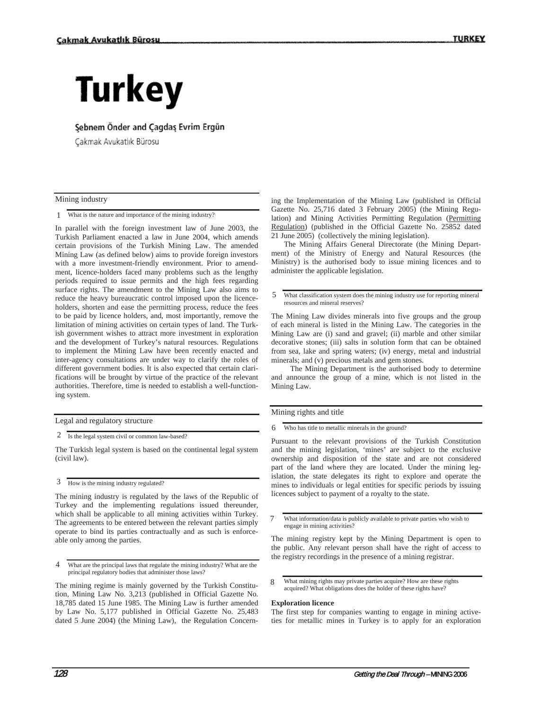# **Turkey**

### Sebnem Önder and Cagdas Evrim Ergün

Cakmak Avukatlık Bürosu

#### Mining industry

What is the nature and importance of the mining industry? 1

In parallel with the foreign investment law of June 2003, the Turkish Parliament enacted a law in June 2004, which amends certain provisions of the Turkish Mining Law. The amended Mining Law (as defined below) aims to provide foreign investors with a more investment-friendly environment. Prior to amendment, licence-holders faced many problems such as the lengthy periods required to issue permits and the high fees regarding surface rights. The amendment to the Mining Law also aims to reduce the heavy bureaucratic control imposed upon the licenceholders, shorten and ease the permitting process, reduce the fees to be paid by licence holders, and, most importantly, remove the limitation of mining activities on certain types of land. The Turkish government wishes to attract more investment in exploration and the development of Turkey's natural resources. Regulations to implement the Mining Law have been recently enacted and inter-agency consultations are under way to clarify the roles of different government bodies. It is also expected that certain clarifications will be brought by virtue of the practice of the relevant authorities. Therefore, time is needed to establish a well-functioning system.

The Turkish legal system is based on the continental legal system (civil law).

How is the mining industry regulated? 3

The mining industry is regulated by the laws of the Republic of Turkey and the implementing regulations issued thereunder, which shall be applicable to all mining activities within Turkey. The agreements to be entered between the relevant parties simply operate to bind its parties contractually and as such is enforceable only among the parties.

What are the principal laws that regulate the mining industry? What are the principal regulatory bodies that administer those laws? 4

The mining regime is mainly governed by the Turkish Constitution, Mining Law No. 3,213 (published in Official Gazette No. 18,785 dated 15 June 1985. The Mining Law is further amended by Law No. 5,177 published in Official Gazette No. 25,483 dated 5 June 2004) (the Mining Law), the Regulation Concerning the Implementation of the Mining Law (published in Official Gazette No. 25,716 dated 3 February 2005) (the Mining Regulation) and Mining Activities Permitting Regulation (Permitting Regulation) (published in the Official Gazette No. 25852 dated 21 June 2005) (collectively the mining legislation).

 The Mining Affairs General Directorate (the Mining Department) of the Ministry of Energy and Natural Resources (the Ministry) is the authorised body to issue mining licences and to administer the applicable legislation.

What classification system does the mining industry use for reporting mineral resources and mineral reserves? 5

The Mining Law divides minerals into five groups and the group of each mineral is listed in the Mining Law. The categories in the Mining Law are (i) sand and gravel; (ii) marble and other similar decorative stones; (iii) salts in solution form that can be obtained from sea, lake and spring waters; (iv) energy, metal and industrial minerals; and (v) precious metals and gem stones.

 The Mining Department is the authorised body to determine and announce the group of a mine, which is not listed in the Mining Law.

Mining rights and title

Who has title to metallic minerals in the ground? 6

Pursuant to the relevant provisions of the Turkish Constitution and the mining legislation, 'mines' are subject to the exclusive ownership and disposition of the state and are not considered part of the land where they are located. Under the mining legislation, the state delegates its right to explore and operate the mines to individuals or legal entities for specific periods by issuing licences subject to payment of a royalty to the state.

What information/data is publicly available to private parties who wish to engage in mining activities? 7

The mining registry kept by the Mining Department is open to the public. Any relevant person shall have the right of access to the registry recordings in the presence of a mining registrar.

#### **Exploration licence**

The first step for companies wanting to engage in mining activeties for metallic mines in Turkey is to apply for an exploration

Legal and regulatory structure

<sup>2</sup> Is the legal system civil or common law-based?

What mining rights may private parties acquire? How are these rights acquired? What obligations does the holder of these rights have? 8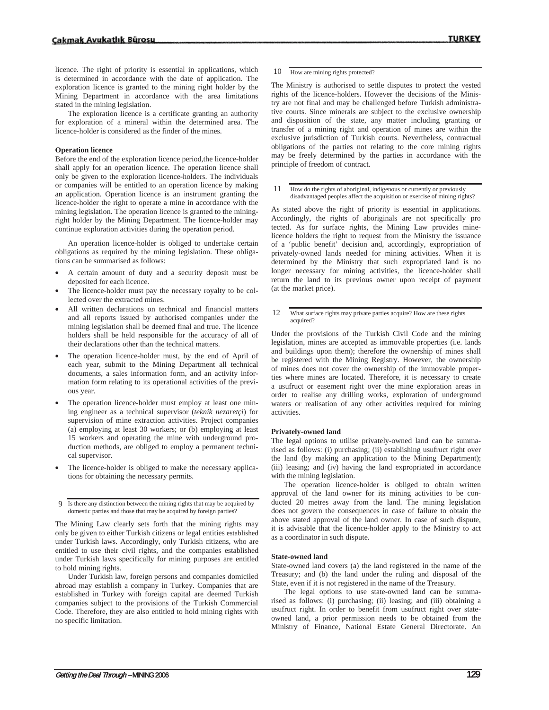licence. The right of priority is essential in applications, which is determined in accordance with the date of application. The exploration licence is granted to the mining right holder by the Mining Department in accordance with the area limitations stated in the mining legislation.

The exploration licence is a certificate granting an authority for exploration of a mineral within the determined area. The licence-holder is considered as the finder of the mines.

#### **Operation licence**

Before the end of the exploration licence period,the licence-holder shall apply for an operation licence. The operation licence shall only be given to the exploration licence-holders. The individuals or companies will be entitled to an operation licence by making an application. Operation licence is an instrument granting the licence-holder the right to operate a mine in accordance with the mining legislation. The operation licence is granted to the miningright holder by the Mining Department. The licence-holder may continue exploration activities during the operation period.

An operation licence-holder is obliged to undertake certain obligations as required by the mining legislation. These obligations can be summarised as follows:

- A certain amount of duty and a security deposit must be deposited for each licence.
- The licence-holder must pay the necessary royalty to be collected over the extracted mines.
- All written declarations on technical and financial matters and all reports issued by authorised companies under the mining legislation shall be deemed final and true. The licence holders shall be held responsible for the accuracy of all of their declarations other than the technical matters.
- The operation licence-holder must, by the end of April of each year, submit to the Mining Department all technical documents, a sales information form, and an activity information form relating to its operational activities of the previous year.
- The operation licence-holder must employ at least one mining engineer as a technical supervisor (*teknik nezaretçi*) for supervision of mine extraction activities. Project companies (a) employing at least 30 workers; or (b) employing at least 15 workers and operating the mine with underground production methods, are obliged to employ a permanent technical supervisor.
- The licence-holder is obliged to make the necessary applications for obtaining the necessary permits.

Is there any distinction between the mining rights that may be acquired by 9 domestic parties and those that may be acquired by foreign parties?

The Mining Law clearly sets forth that the mining rights may only be given to either Turkish citizens or legal entities established under Turkish laws. Accordingly, only Turkish citizens, who are entitled to use their civil rights, and the companies established under Turkish laws specifically for mining purposes are entitled to hold mining rights.

Under Turkish law, foreign persons and companies domiciled abroad may establish a company in Turkey. Companies that are established in Turkey with foreign capital are deemed Turkish companies subject to the provisions of the Turkish Commercial Code. Therefore, they are also entitled to hold mining rights with no specific limitation.

10 How are mining rights protected?

The Ministry is authorised to settle disputes to protect the vested rights of the licence-holders. However the decisions of the Ministry are not final and may be challenged before Turkish administrative courts. Since minerals are subject to the exclusive ownership and disposition of the state, any matter including granting or transfer of a mining right and operation of mines are within the exclusive jurisdiction of Turkish courts. Nevertheless, contractual obligations of the parties not relating to the core mining rights may be freely determined by the parties in accordance with the principle of freedom of contract.

How do the rights of aboriginal, indigenous or currently or previously disadvantaged peoples affect the acquisition or exercise of mining rights? 11

As stated above the right of priority is essential in applications. Accordingly, the rights of aboriginals are not specifically pro tected. As for surface rights, the Mining Law provides minelicence holders the right to request from the Ministry the issuance of a 'public benefit' decision and, accordingly, expropriation of privately-owned lands needed for mining activities. When it is determined by the Ministry that such expropriated land is no longer necessary for mining activities, the licence-holder shall return the land to its previous owner upon receipt of payment (at the market price).

What surface rights may private parties acquire? How are these rights acquired? 12

Under the provisions of the Turkish Civil Code and the mining legislation, mines are accepted as immovable properties (i.e. lands and buildings upon them); therefore the ownership of mines shall be registered with the Mining Registry. However, the ownership of mines does not cover the ownership of the immovable properties where mines are located. Therefore, it is necessary to create a usufruct or easement right over the mine exploration areas in order to realise any drilling works, exploration of underground waters or realisation of any other activities required for mining activities.

#### **Privately-owned land**

The legal options to utilise privately-owned land can be summarised as follows: (i) purchasing; (ii) establishing usufruct right over the land (by making an application to the Mining Department); (iii) leasing; and (iv) having the land expropriated in accordance with the mining legislation.

The operation licence-holder is obliged to obtain written approval of the land owner for its mining activities to be conducted 20 metres away from the land. The mining legislation does not govern the consequences in case of failure to obtain the above stated approval of the land owner. In case of such dispute, it is advisable that the licence-holder apply to the Ministry to act as a coordinator in such dispute.

#### **State-owned land**

State-owned land covers (a) the land registered in the name of the Treasury; and (b) the land under the ruling and disposal of the State, even if it is not registered in the name of the Treasury.

 The legal options to use state-owned land can be summarised as follows: (i) purchasing; (ii) leasing; and (iii) obtaining a usufruct right. In order to benefit from usufruct right over stateowned land, a prior permission needs to be obtained from the Ministry of Finance, National Estate General Directorate. An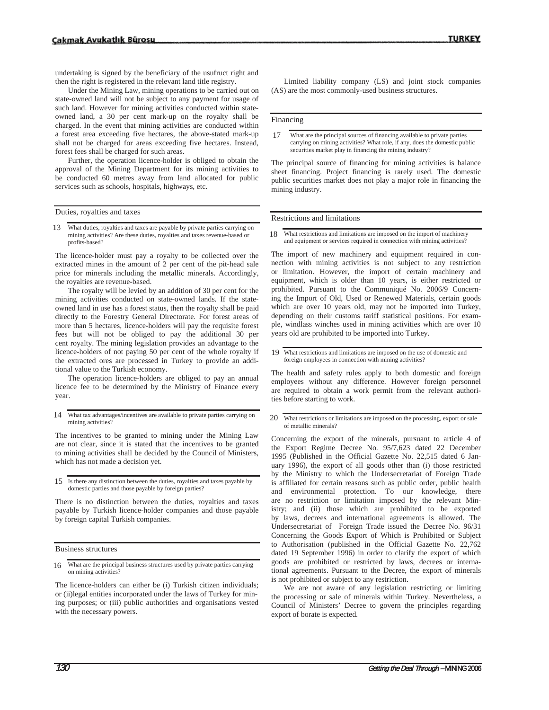undertaking is signed by the beneficiary of the usufruct right and then the right is registered in the relevant land title registry.

 Under the Mining Law, mining operations to be carried out on state-owned land will not be subject to any payment for usage of such land. However for mining activities conducted within stateowned land, a 30 per cent mark-up on the royalty shall be charged. In the event that mining activities are conducted within a forest area exceeding five hectares, the above-stated mark-up shall not be charged for areas exceeding five hectares. Instead, forest fees shall be charged for such areas.

 Further, the operation licence-holder is obliged to obtain the approval of the Mining Department for its mining activities to be conducted 60 metres away from land allocated for public services such as schools, hospitals, highways, etc.

Duties, royalties and taxes

What duties, royalties and taxes are payable by private parties carrying on mining activities? Are these duties, royalties and taxes revenue-based or profits-based? 13

The licence-holder must pay a royalty to be collected over the extracted mines in the amount of 2 per cent of the pit-head sale price for minerals including the metallic minerals. Accordingly, the royalties are revenue-based.

The royalty will be levied by an addition of 30 per cent for the mining activities conducted on state-owned lands. If the stateowned land in use has a forest status, then the royalty shall be paid directly to the Forestry General Directorate. For forest areas of more than 5 hectares, licence-holders will pay the requisite forest fees but will not be obliged to pay the additional 30 per cent royalty. The mining legislation provides an advantage to the licence-holders of not paying 50 per cent of the whole royalty if the extracted ores are processed in Turkey to provide an additional value to the Turkish economy.

The operation licence-holders are obliged to pay an annual licence fee to be determined by the Ministry of Finance every year.

What tax advantages/incentives are available to private parties carrying on mining activities? 14

The incentives to be granted to mining under the Mining Law are not clear, since it is stated that the incentives to be granted to mining activities shall be decided by the Council of Ministers, which has not made a decision yet.

15 Is there any distinction between the duties, royalties and taxes payable by domestic parties and those payable by foreign parties?

There is no distinction between the duties, royalties and taxes payable by Turkish licence-holder companies and those payable by foreign capital Turkish companies.

Business structures

What are the principal business structures used by private parties carrying on mining activities? 16

The licence-holders can either be (i) Turkish citizen individuals; or (ii)legal entities incorporated under the laws of Turkey for mining purposes; or (iii) public authorities and organisations vested with the necessary powers.

Limited liability company (LS) and joint stock companies (AS) are the most commonly-used business structures.

Financing

The principal source of financing for mining activities is balance sheet financing. Project financing is rarely used. The domestic public securities market does not play a major role in financing the mining industry.

Restrictions and limitations

What restrictions and limitations are imposed on the import of machinery and equipment or services required in connection with mining activities? 18

The import of new machinery and equipment required in connection with mining activities is not subject to any restriction or limitation. However, the import of certain machinery and equipment, which is older than 10 years, is either restricted or prohibited. Pursuant to the Communiqué No. 2006/9 Concerning the Import of Old, Used or Renewed Materials, certain goods which are over 10 years old, may not be imported into Turkey, depending on their customs tariff statistical positions. For example, windlass winches used in mining activities which are over 10 years old are prohibited to be imported into Turkey.

The health and safety rules apply to both domestic and foreign employees without any difference. However foreign personnel are required to obtain a work permit from the relevant authorities before starting to work.

What restrictions or limitations are imposed on the processing, export or sale of metallic minerals? 20

Concerning the export of the minerals, pursuant to article 4 of the Export Regime Decree No. 95/7,623 dated 22 December 1995 (Published in the Official Gazette No. 22,515 dated 6 January 1996), the export of all goods other than (i) those restricted by the Ministry to which the Undersecretariat of Foreign Trade is affiliated for certain reasons such as public order, public health and environmental protection. To our knowledge, there are no restriction or limitation imposed by the relevant Ministry; and (ii) those which are prohibited to be exported by laws, decrees and international agreements is allowed. The Undersecretariat of Foreign Trade issued the Decree No. 96/31 Concerning the Goods Export of Which is Prohibited or Subject to Authorisation (published in the Official Gazette No. 22,762 dated 19 September 1996) in order to clarify the export of which goods are prohibited or restricted by laws, decrees or international agreements. Pursuant to the Decree, the export of minerals is not prohibited or subject to any restriction.

We are not aware of any legislation restricting or limiting the processing or sale of minerals within Turkey. Nevertheless, a Council of Ministers' Decree to govern the principles regarding export of borate is expected.

What are the principal sources of financing available to private parties carrying on mining activities? What role, if any, does the domestic public securities market play in financing the mining industry? 17

What restrictions and limitations are imposed on the use of domestic and foreign employees in connection with mining activities? 19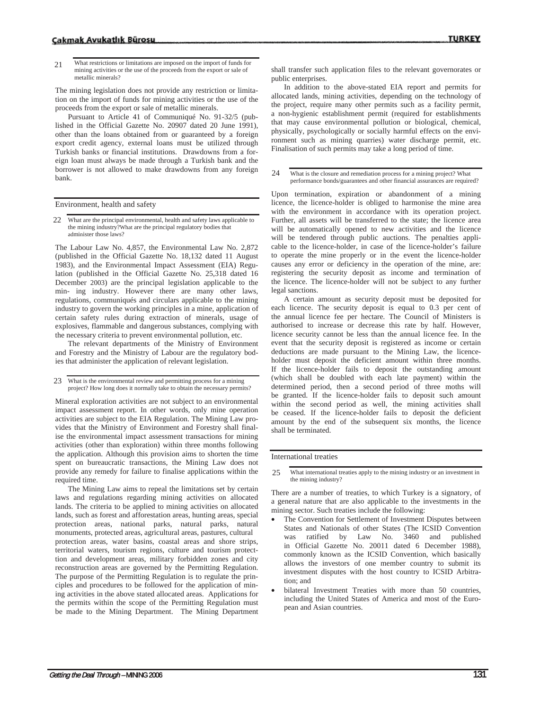What restrictions or limitations are imposed on the import of funds for mining activities or the use of the proceeds from the export or sale of metallic minerals? 21

The mining legislation does not provide any restriction or limitation on the import of funds for mining activities or the use of the proceeds from the export or sale of metallic minerals.

Pursuant to Article 41 of Communiqué No. 91-32/5 (published in the Official Gazette No. 20907 dated 20 June 1991), other than the loans obtained from or guaranteed by a foreign export credit agency, external loans must be utilized through Turkish banks or financial institutions. Drawdowns from a foreign loan must always be made through a Turkish bank and the borrower is not allowed to make drawdowns from any foreign bank.

Environment, health and safety

22 What are the principal environmental, health and safety laws applicable to the mining industry?What are the principal regulatory bodies that administer those laws?

The Labour Law No. 4,857, the Environmental Law No. 2,872 (published in the Official Gazette No. 18,132 dated 11 August 1983), and the Environmental Impact Assessment (EIA) Regulation (published in the Official Gazette No. 25,318 dated 16 December 2003) are the principal legislation applicable to the min- ing industry. However there are many other laws, regulations, communiqués and circulars applicable to the mining industry to govern the working principles in a mine, application of certain safety rules during extraction of minerals, usage of explosives, flammable and dangerous substances, complying with the necessary criteria to prevent environmental pollution, etc.

The relevant departments of the Ministry of Environment and Forestry and the Ministry of Labour are the regulatory bodies that administer the application of relevant legislation.

What is the environmental review and permitting process for a mining 23 project? How long does it normally take to obtain the necessary permits?

Mineral exploration activities are not subject to an environmental impact assessment report. In other words, only mine operation activities are subject to the EIA Regulation. The Mining Law provides that the Ministry of Environment and Forestry shall finalise the environmental impact assessment transactions for mining activities (other than exploration) within three months following the application. Although this provision aims to shorten the time spent on bureaucratic transactions, the Mining Law does not provide any remedy for failure to finalise applications within the required time.

The Mining Law aims to repeal the limitations set by certain laws and regulations regarding mining activities on allocated lands. The criteria to be applied to mining activities on allocated lands, such as forest and afforestation areas, hunting areas, special protection areas, national parks, natural parks, natural monuments, protected areas, agricultural areas, pastures, cultural protection areas, water basins, coastal areas and shore strips, territorial waters, tourism regions, culture and tourism protecttion and development areas, military forbidden zones and city reconstruction areas are governed by the Permitting Regulation. The purpose of the Permitting Regulation is to regulate the principles and procedures to be followed for the application of mining activities in the above stated allocated areas. Applications for the permits within the scope of the Permitting Regulation must be made to the Mining Department. The Mining Department shall transfer such application files to the relevant governorates or public enterprises.

In addition to the above-stated EIA report and permits for allocated lands, mining activities, depending on the technology of the project, require many other permits such as a facility permit, a non-hygienic establishment permit (required for establishments that may cause environmental pollution or biological, chemical, physically, psychologically or socially harmful effects on the environment such as mining quarries) water discharge permit, etc. Finalisation of such permits may take a long period of time.

What is the closure and remediation process for a mining project? What performance bonds/guarantees and other financial assurances are required? 24

Upon termination, expiration or abandonment of a mining licence, the licence-holder is obliged to harmonise the mine area with the environment in accordance with its operation project. Further, all assets will be transferred to the state; the licence area will be automatically opened to new activities and the licence will be tendered through public auctions. The penalties applicable to the licence-holder, in case of the licence-holder's failure to operate the mine properly or in the event the licence-holder causes any error or deficiency in the operation of the mine, are: registering the security deposit as income and termination of the licence. The licence-holder will not be subject to any further legal sanctions.

A certain amount as security deposit must be deposited for each licence. The security deposit is equal to 0.3 per cent of the annual licence fee per hectare. The Council of Ministers is authorised to increase or decrease this rate by half. However, licence security cannot be less than the annual licence fee. In the event that the security deposit is registered as income or certain deductions are made pursuant to the Mining Law, the licenceholder must deposit the deficient amount within three months. If the licence-holder fails to deposit the outstanding amount (which shall be doubled with each late payment) within the determined period, then a second period of three moths will be granted. If the licence-holder fails to deposit such amount within the second period as well, the mining activities shall be ceased. If the licence-holder fails to deposit the deficient amount by the end of the subsequent six months, the licence shall be terminated.

International treaties

What international treaties apply to the mining industry or an investment in the mining industry? 25

There are a number of treaties, to which Turkey is a signatory, of a general nature that are also applicable to the investments in the mining sector. Such treaties include the following:

- The Convention for Settlement of Investment Disputes between States and Nationals of other States (The ICSID Convention was ratified by Law No. 3460 and published in Official Gazette No. 20011 dated 6 December 1988), commonly known as the ICSID Convention, which basically allows the investors of one member country to submit its investment disputes with the host country to ICSID Arbitration; and
- bilateral Investment Treaties with more than 50 countries, including the United States of America and most of the European and Asian countries.